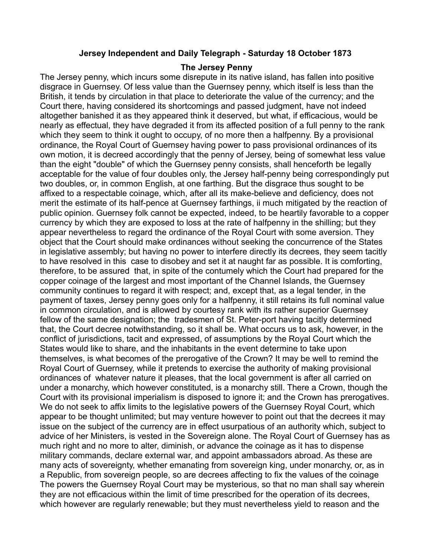## **Jersey Independent and Daily Telegraph - Saturday 18 October 1873**

## **The Jersey Penny**

The Jersey penny, which incurs some disrepute in its native island, has fallen into positive disgrace in Guernsey. Of less value than the Guernsey penny, which itself is less than the British, it tends by circulation in that place to deteriorate the value of the currency; and the Court there, having considered its shortcomings and passed judgment, have not indeed altogether banished it as they appeared think it deserved, but what, if efficacious, would be nearly as effectual, they have degraded it from its affected position of a full penny to the rank which they seem to think it ought to occupy, of no more then a halfpenny. By a provisional ordinance, the Royal Court of Guernsey having power to pass provisional ordinances of its own motion, it is decreed accordingly that the penny of Jersey, being of somewhat less value than the eight "double" of which the Guernsey penny consists, shall henceforth be legally acceptable for the value of four doubles only, the Jersey half-penny being correspondingly put two doubles, or, in common English, at one farthing. But the disgrace thus sought to be affixed to a respectable coinage, which, after all its make-believe and deficiency, does not merit the estimate of its half-pence at Guernsey farthings, ii much mitigated by the reaction of public opinion. Guernsey folk cannot be expected, indeed, to be heartily favorable to a copper currency by which they are exposed to loss at the rate of halfpenny in the shilling; but they appear nevertheless to regard the ordinance of the Royal Court with some aversion. They object that the Court should make ordinances without seeking the concurrence of the States in legislative assembly; but having no power to interfere directly its decrees, they seem tacitly to have resolved in this case to disobey and set it at naught far as possible. It is comforting, therefore, to be assured that, in spite of the contumely which the Court had prepared for the copper coinage of the largest and most important of the Channel Islands, the Guernsey community continues to regard it with respect; and, except that, as a legal tender, in the payment of taxes, Jersey penny goes only for a halfpenny, it still retains its full nominal value in common circulation, and is allowed by courtesy rank with its rather superior Guernsey fellow of the same designation; the tradesmen of St. Peter-port having tacitly determined that, the Court decree notwithstanding, so it shall be. What occurs us to ask, however, in the conflict of jurisdictions, tacit and expressed, of assumptions by the Royal Court which the States would like to share, and the inhabitants in the event determine to take upon themselves, is what becomes of the prerogative of the Crown? It may be well to remind the Royal Court of Guernsey, while it pretends to exercise the authority of making provisional ordinances of whatever nature it pleases, that the local government is after all carried on under a monarchy, which however constituted, is a monarchy still. There a Crown, though the Court with its provisional imperialism is disposed to ignore it; and the Crown has prerogatives. We do not seek to affix limits to the legislative powers of the Guernsey Royal Court, which appear to be thought unlimited; but may venture however to point out that the decrees it may issue on the subject of the currency are in effect usurpatious of an authority which, subject to advice of her Ministers, is vested in the Sovereign alone. The Royal Court of Guernsey has as much right and no more to alter, diminish, or advance the coinage as it has to dispense military commands, declare external war, and appoint ambassadors abroad. As these are many acts of sovereignty, whether emanating from sovereign king, under monarchy, or, as in a Republic, from sovereign people, so are decrees affecting to fix the values of the coinage The powers the Guernsey Royal Court may be mysterious, so that no man shall say wherein they are not efficacious within the limit of time prescribed for the operation of its decrees, which however are regularly renewable; but they must nevertheless yield to reason and the